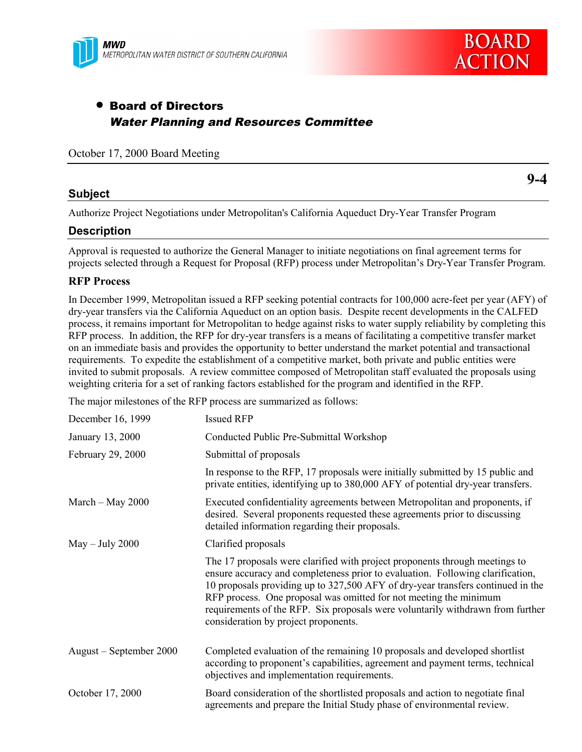

# • Board of Directors Water Planning and Resources Committee

October 17, 2000 Board Meeting

#### **Subject**

**9-4**

Authorize Project Negotiations under Metropolitan's California Aqueduct Dry-Year Transfer Program

#### **Description**

Approval is requested to authorize the General Manager to initiate negotiations on final agreement terms for projects selected through a Request for Proposal (RFP) process under Metropolitan's Dry-Year Transfer Program.

#### **RFP Process**

In December 1999, Metropolitan issued a RFP seeking potential contracts for 100,000 acre-feet per year (AFY) of dry-year transfers via the California Aqueduct on an option basis. Despite recent developments in the CALFED process, it remains important for Metropolitan to hedge against risks to water supply reliability by completing this RFP process. In addition, the RFP for dry-year transfers is a means of facilitating a competitive transfer market on an immediate basis and provides the opportunity to better understand the market potential and transactional requirements. To expedite the establishment of a competitive market, both private and public entities were invited to submit proposals. A review committee composed of Metropolitan staff evaluated the proposals using weighting criteria for a set of ranking factors established for the program and identified in the RFP.

The major milestones of the RFP process are summarized as follows:

| December 16, 1999       | <b>Issued RFP</b>                                                                                                                                                                                                                                                                                                                                                                                                                               |
|-------------------------|-------------------------------------------------------------------------------------------------------------------------------------------------------------------------------------------------------------------------------------------------------------------------------------------------------------------------------------------------------------------------------------------------------------------------------------------------|
| January 13, 2000        | Conducted Public Pre-Submittal Workshop                                                                                                                                                                                                                                                                                                                                                                                                         |
| February 29, 2000       | Submittal of proposals                                                                                                                                                                                                                                                                                                                                                                                                                          |
|                         | In response to the RFP, 17 proposals were initially submitted by 15 public and<br>private entities, identifying up to 380,000 AFY of potential dry-year transfers.                                                                                                                                                                                                                                                                              |
| March $-$ May 2000      | Executed confidentiality agreements between Metropolitan and proponents, if<br>desired. Several proponents requested these agreements prior to discussing<br>detailed information regarding their proposals.                                                                                                                                                                                                                                    |
| $May - July 2000$       | Clarified proposals                                                                                                                                                                                                                                                                                                                                                                                                                             |
|                         | The 17 proposals were clarified with project proponents through meetings to<br>ensure accuracy and completeness prior to evaluation. Following clarification,<br>10 proposals providing up to 327,500 AFY of dry-year transfers continued in the<br>RFP process. One proposal was omitted for not meeting the minimum<br>requirements of the RFP. Six proposals were voluntarily withdrawn from further<br>consideration by project proponents. |
| August – September 2000 | Completed evaluation of the remaining 10 proposals and developed shortlist<br>according to proponent's capabilities, agreement and payment terms, technical<br>objectives and implementation requirements.                                                                                                                                                                                                                                      |
| October 17, 2000        | Board consideration of the shortlisted proposals and action to negotiate final<br>agreements and prepare the Initial Study phase of environmental review.                                                                                                                                                                                                                                                                                       |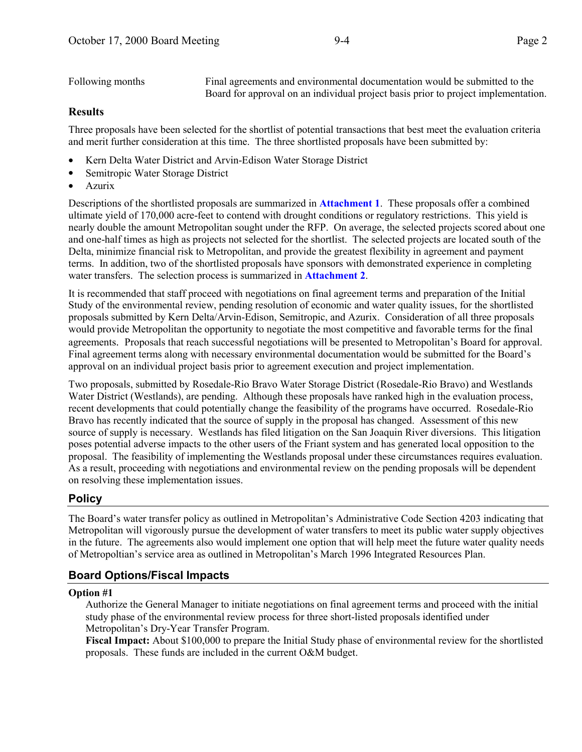Following months Final agreements and environmental documentation would be submitted to the Board for approval on an individual project basis prior to project implementation.

#### **Results**

Three proposals have been selected for the shortlist of potential transactions that best meet the evaluation criteria and merit further consideration at this time. The three shortlisted proposals have been submitted by:

- Kern Delta Water District and Arvin-Edison Water Storage District
- Semitropic Water Storage District
- Azurix

Descriptions of the shortlisted proposals are summarized in **Attachment 1**. These proposals offer a combined ultimate yield of 170,000 acre-feet to contend with drought conditions or regulatory restrictions. This yield is nearly double the amount Metropolitan sought under the RFP. On average, the selected projects scored about one and one-half times as high as projects not selected for the shortlist. The selected projects are located south of the Delta, minimize financial risk to Metropolitan, and provide the greatest flexibility in agreement and payment terms. In addition, two of the shortlisted proposals have sponsors with demonstrated experience in completing water transfers. The selection process is summarized in **Attachment 2**.

It is recommended that staff proceed with negotiations on final agreement terms and preparation of the Initial Study of the environmental review, pending resolution of economic and water quality issues, for the shortlisted proposals submitted by Kern Delta/Arvin-Edison, Semitropic, and Azurix. Consideration of all three proposals would provide Metropolitan the opportunity to negotiate the most competitive and favorable terms for the final agreements. Proposals that reach successful negotiations will be presented to Metropolitan's Board for approval. Final agreement terms along with necessary environmental documentation would be submitted for the Board's approval on an individual project basis prior to agreement execution and project implementation.

Two proposals, submitted by Rosedale-Rio Bravo Water Storage District (Rosedale-Rio Bravo) and Westlands Water District (Westlands), are pending. Although these proposals have ranked high in the evaluation process, recent developments that could potentially change the feasibility of the programs have occurred. Rosedale-Rio Bravo has recently indicated that the source of supply in the proposal has changed. Assessment of this new source of supply is necessary. Westlands has filed litigation on the San Joaquin River diversions. This litigation poses potential adverse impacts to the other users of the Friant system and has generated local opposition to the proposal. The feasibility of implementing the Westlands proposal under these circumstances requires evaluation. As a result, proceeding with negotiations and environmental review on the pending proposals will be dependent on resolving these implementation issues.

#### **Policy**

The Board's water transfer policy as outlined in Metropolitan's Administrative Code Section 4203 indicating that Metropolitan will vigorously pursue the development of water transfers to meet its public water supply objectives in the future. The agreements also would implement one option that will help meet the future water quality needs of Metropoltian's service area as outlined in Metropolitan's March 1996 Integrated Resources Plan.

### **Board Options/Fiscal Impacts**

#### **Option #1**

Authorize the General Manager to initiate negotiations on final agreement terms and proceed with the initial study phase of the environmental review process for three short-listed proposals identified under Metropolitan's Dry-Year Transfer Program.

**Fiscal Impact:** About \$100,000 to prepare the Initial Study phase of environmental review for the shortlisted proposals. These funds are included in the current O&M budget.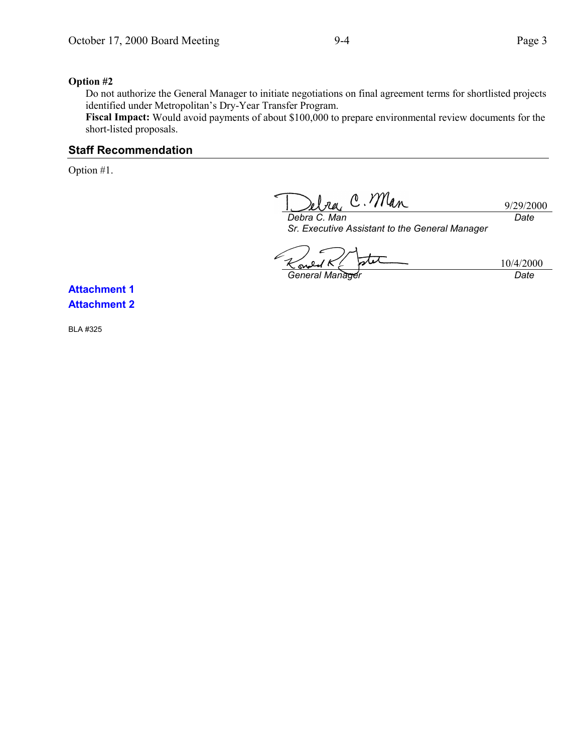**Option #2** Do not authorize the General Manager to initiate negotiations on final agreement terms for shortlisted projects identified under Metropolitan's Dry-Year Transfer Program.

**Fiscal Impact:** Would avoid payments of about \$100,000 to prepare environmental review documents for the short-listed proposals.

#### **Staff Recommendation**

Option #1.

Ira, C. Man 9/29/2000 *Date*

*Debra C. Man Sr. Executive Assistant to the General Manager*

stet **General Manager Community Community Community Community Community Community Community Community Community Community** 

10/4/2000

**Attachment 1 Attachment 2**

BLA #325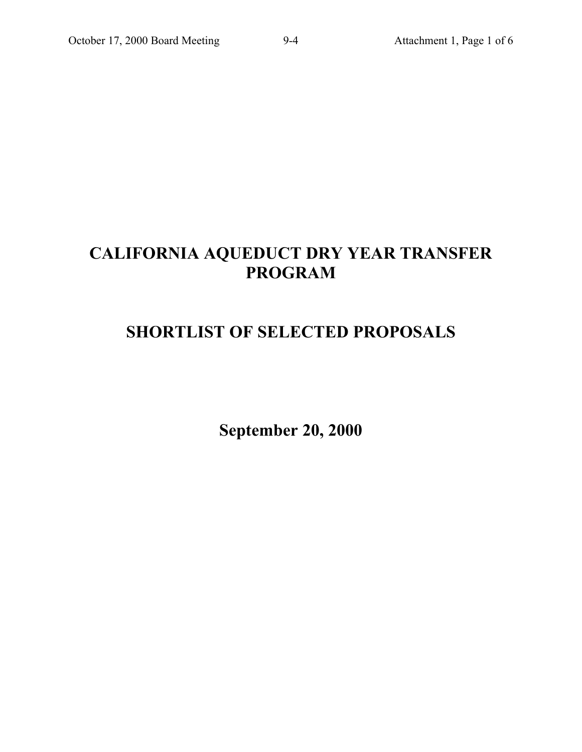# **CALIFORNIA AQUEDUCT DRY YEAR TRANSFER PROGRAM**

# **SHORTLIST OF SELECTED PROPOSALS**

**September 20, 2000**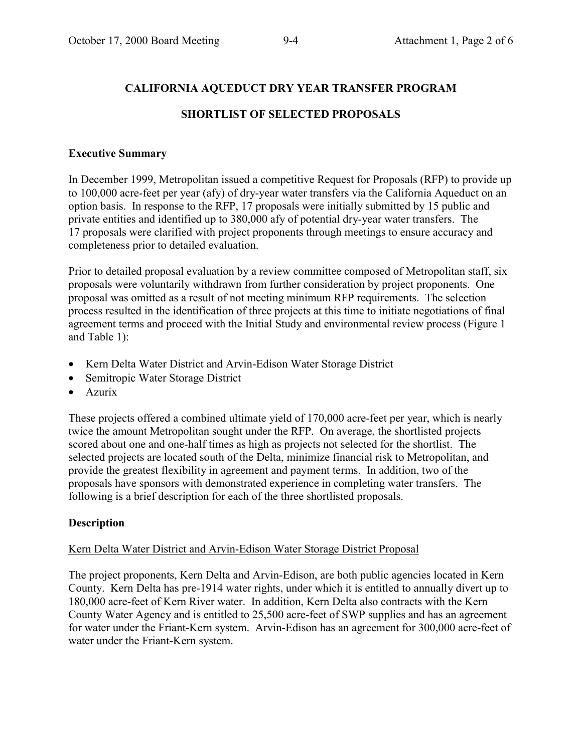# **CALIFORNIA AQUEDUCT DRY YEAR TRANSFER PROGRAM**

# **SHORTLIST OF SELECTED PROPOSALS**

## **Executive Summary**

In December 1999, Metropolitan issued a competitive Request for Proposals (RFP) to provide up to 100,000 acre-feet per year (afy) of dry-year water transfers via the California Aqueduct on an option basis. In response to the RFP, 17 proposals were initially submitted by 15 public and private entities and identified up to 380,000 afy of potential dry-year water transfers. The 17 proposals were clarified with project proponents through meetings to ensure accuracy and completeness prior to detailed evaluation.

Prior to detailed proposal evaluation by a review committee composed of Metropolitan staff, six proposals were voluntarily withdrawn from further consideration by project proponents. One proposal was omitted as a result of not meeting minimum RFP requirements. The selection process resulted in the identification of three projects at this time to initiate negotiations of final agreement terms and proceed with the Initial Study and environmental review process (Figure 1 and Table 1):

- Kern Delta Water District and Arvin-Edison Water Storage District
- Semitropic Water Storage District
- Azurix

These projects offered a combined ultimate yield of 170,000 acre-feet per year, which is nearly twice the amount Metropolitan sought under the RFP. On average, the shortlisted projects scored about one and one-half times as high as projects not selected for the shortlist. The selected projects are located south of the Delta, minimize financial risk to Metropolitan, and provide the greatest flexibility in agreement and payment terms. In addition, two of the proposals have sponsors with demonstrated experience in completing water transfers. The following is a brief description for each of the three shortlisted proposals.

# **Description**

## Kern Delta Water District and Arvin-Edison Water Storage District Proposal

The project proponents, Kern Delta and Arvin-Edison, are both public agencies located in Kern County. Kern Delta has pre-1914 water rights, under which it is entitled to annually divert up to 180,000 acre-feet of Kern River water. In addition, Kern Delta also contracts with the Kern County Water Agency and is entitled to 25,500 acre-feet of SWP supplies and has an agreement for water under the Friant-Kern system. Arvin-Edison has an agreement for 300,000 acre-feet of water under the Friant-Kern system.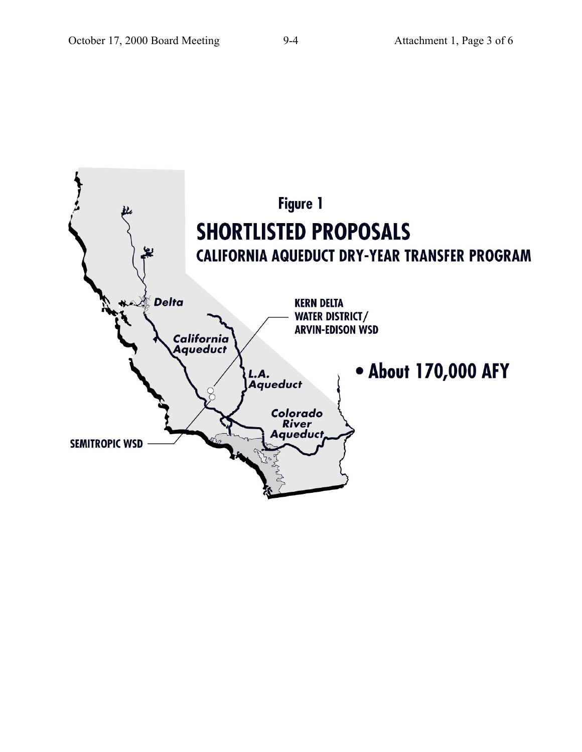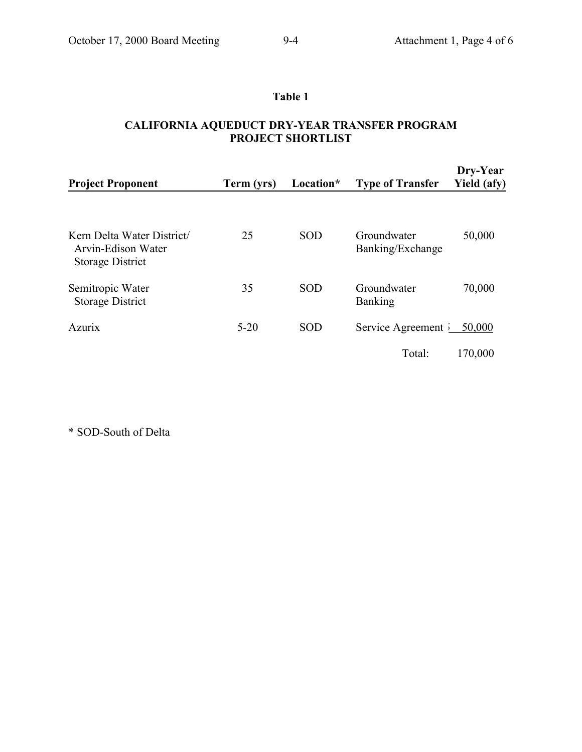## **Table 1**

### **CALIFORNIA AQUEDUCT DRY-YEAR TRANSFER PROGRAM PROJECT SHORTLIST**

| <b>Project Proponent</b>                                                    | Term (yrs) | Location*  | <b>Type of Transfer</b>         | Dry-Year<br>Yield (afy) |
|-----------------------------------------------------------------------------|------------|------------|---------------------------------|-------------------------|
| Kern Delta Water District/<br>Arvin-Edison Water<br><b>Storage District</b> | 25         | <b>SOD</b> | Groundwater<br>Banking/Exchange | 50,000                  |
| Semitropic Water<br><b>Storage District</b>                                 | 35         | <b>SOD</b> | Groundwater<br><b>Banking</b>   | 70,000                  |
| <b>Azurix</b>                                                               | $5 - 20$   | <b>SOD</b> | Service Agreement i             | 50,000                  |
|                                                                             |            |            | Total:                          | 170,000                 |

\* SOD-South of Delta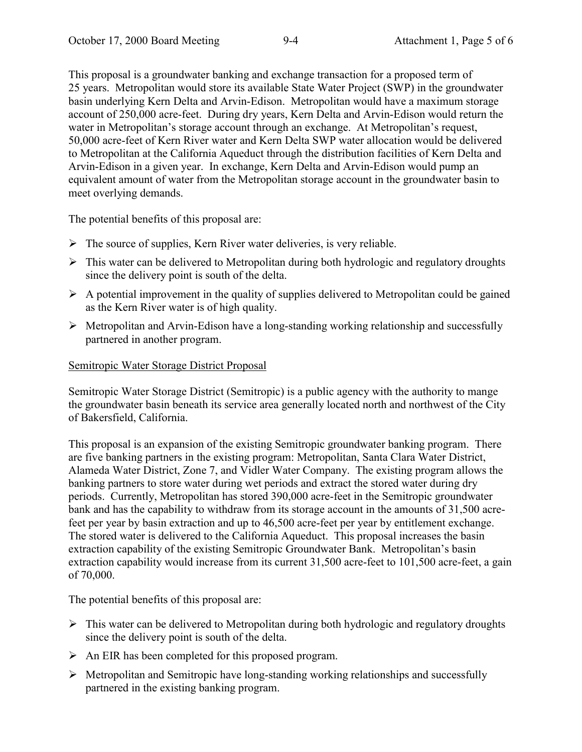This proposal is a groundwater banking and exchange transaction for a proposed term of 25 years. Metropolitan would store its available State Water Project (SWP) in the groundwater basin underlying Kern Delta and Arvin-Edison. Metropolitan would have a maximum storage account of 250,000 acre-feet. During dry years, Kern Delta and Arvin-Edison would return the water in Metropolitan's storage account through an exchange. At Metropolitan's request, 50,000 acre-feet of Kern River water and Kern Delta SWP water allocation would be delivered to Metropolitan at the California Aqueduct through the distribution facilities of Kern Delta and Arvin-Edison in a given year. In exchange, Kern Delta and Arvin-Edison would pump an equivalent amount of water from the Metropolitan storage account in the groundwater basin to meet overlying demands.

The potential benefits of this proposal are:

- $\triangleright$  The source of supplies, Kern River water deliveries, is very reliable.
- $\triangleright$  This water can be delivered to Metropolitan during both hydrologic and regulatory droughts since the delivery point is south of the delta.
- $\triangleright$  A potential improvement in the quality of supplies delivered to Metropolitan could be gained as the Kern River water is of high quality.
- $\triangleright$  Metropolitan and Arvin-Edison have a long-standing working relationship and successfully partnered in another program.

#### Semitropic Water Storage District Proposal

Semitropic Water Storage District (Semitropic) is a public agency with the authority to mange the groundwater basin beneath its service area generally located north and northwest of the City of Bakersfield, California.

This proposal is an expansion of the existing Semitropic groundwater banking program. There are five banking partners in the existing program: Metropolitan, Santa Clara Water District, Alameda Water District, Zone 7, and Vidler Water Company. The existing program allows the banking partners to store water during wet periods and extract the stored water during dry periods. Currently, Metropolitan has stored 390,000 acre-feet in the Semitropic groundwater bank and has the capability to withdraw from its storage account in the amounts of 31,500 acrefeet per year by basin extraction and up to 46,500 acre-feet per year by entitlement exchange. The stored water is delivered to the California Aqueduct. This proposal increases the basin extraction capability of the existing Semitropic Groundwater Bank. Metropolitan's basin extraction capability would increase from its current 31,500 acre-feet to 101,500 acre-feet, a gain of 70,000.

The potential benefits of this proposal are:

- $\triangleright$  This water can be delivered to Metropolitan during both hydrologic and regulatory droughts since the delivery point is south of the delta.
- $\triangleright$  An EIR has been completed for this proposed program.
- $\triangleright$  Metropolitan and Semitropic have long-standing working relationships and successfully partnered in the existing banking program.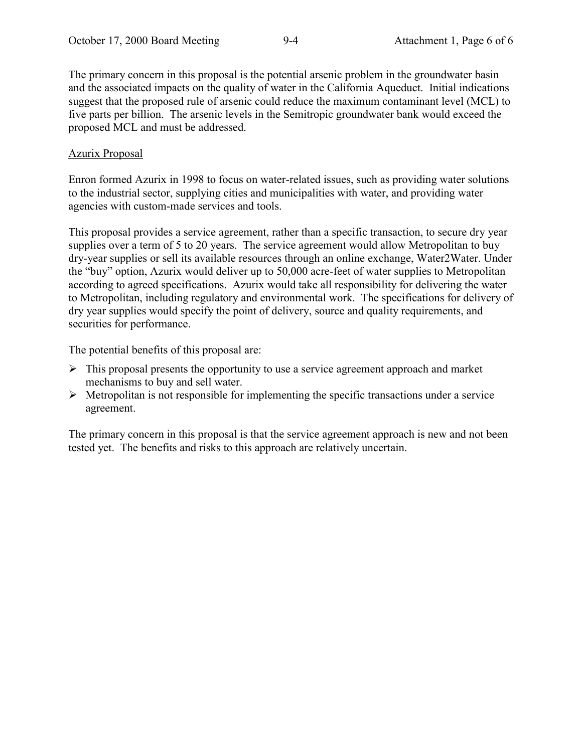The primary concern in this proposal is the potential arsenic problem in the groundwater basin and the associated impacts on the quality of water in the California Aqueduct. Initial indications suggest that the proposed rule of arsenic could reduce the maximum contaminant level (MCL) to five parts per billion. The arsenic levels in the Semitropic groundwater bank would exceed the proposed MCL and must be addressed.

#### Azurix Proposal

Enron formed Azurix in 1998 to focus on water-related issues, such as providing water solutions to the industrial sector, supplying cities and municipalities with water, and providing water agencies with custom-made services and tools.

This proposal provides a service agreement, rather than a specific transaction, to secure dry year supplies over a term of 5 to 20 years. The service agreement would allow Metropolitan to buy dry-year supplies or sell its available resources through an online exchange, Water2Water. Under the "buy" option, Azurix would deliver up to 50,000 acre-feet of water supplies to Metropolitan according to agreed specifications. Azurix would take all responsibility for delivering the water to Metropolitan, including regulatory and environmental work. The specifications for delivery of dry year supplies would specify the point of delivery, source and quality requirements, and securities for performance.

The potential benefits of this proposal are:

- $\triangleright$  This proposal presents the opportunity to use a service agreement approach and market mechanisms to buy and sell water.
- $\triangleright$  Metropolitan is not responsible for implementing the specific transactions under a service agreement.

The primary concern in this proposal is that the service agreement approach is new and not been tested yet. The benefits and risks to this approach are relatively uncertain.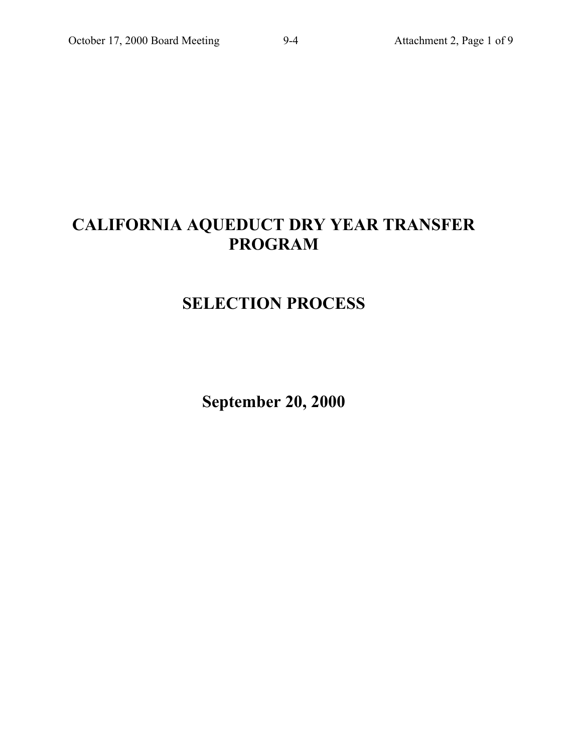# **CALIFORNIA AQUEDUCT DRY YEAR TRANSFER PROGRAM**

# **SELECTION PROCESS**

**September 20, 2000**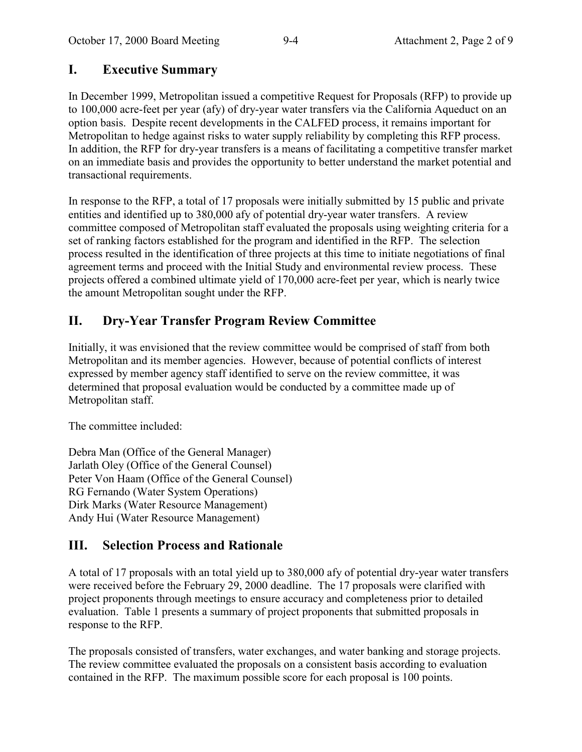# **I. Executive Summary**

In December 1999, Metropolitan issued a competitive Request for Proposals (RFP) to provide up to 100,000 acre-feet per year (afy) of dry-year water transfers via the California Aqueduct on an option basis. Despite recent developments in the CALFED process, it remains important for Metropolitan to hedge against risks to water supply reliability by completing this RFP process. In addition, the RFP for dry-year transfers is a means of facilitating a competitive transfer market on an immediate basis and provides the opportunity to better understand the market potential and transactional requirements.

In response to the RFP, a total of 17 proposals were initially submitted by 15 public and private entities and identified up to 380,000 afy of potential dry-year water transfers. A review committee composed of Metropolitan staff evaluated the proposals using weighting criteria for a set of ranking factors established for the program and identified in the RFP. The selection process resulted in the identification of three projects at this time to initiate negotiations of final agreement terms and proceed with the Initial Study and environmental review process. These projects offered a combined ultimate yield of 170,000 acre-feet per year, which is nearly twice the amount Metropolitan sought under the RFP.

# **II. Dry-Year Transfer Program Review Committee**

Initially, it was envisioned that the review committee would be comprised of staff from both Metropolitan and its member agencies. However, because of potential conflicts of interest expressed by member agency staff identified to serve on the review committee, it was determined that proposal evaluation would be conducted by a committee made up of Metropolitan staff.

The committee included:

Debra Man (Office of the General Manager) Jarlath Oley (Office of the General Counsel) Peter Von Haam (Office of the General Counsel) RG Fernando (Water System Operations) Dirk Marks (Water Resource Management) Andy Hui (Water Resource Management)

# **III. Selection Process and Rationale**

A total of 17 proposals with an total yield up to 380,000 afy of potential dry-year water transfers were received before the February 29, 2000 deadline. The 17 proposals were clarified with project proponents through meetings to ensure accuracy and completeness prior to detailed evaluation. Table 1 presents a summary of project proponents that submitted proposals in response to the RFP.

The proposals consisted of transfers, water exchanges, and water banking and storage projects. The review committee evaluated the proposals on a consistent basis according to evaluation contained in the RFP. The maximum possible score for each proposal is 100 points.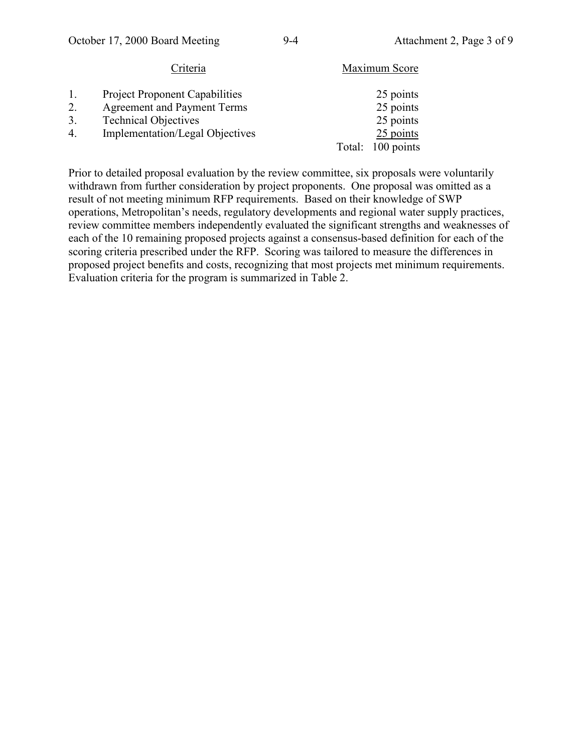| Criteria                               | Maximum Score     |
|----------------------------------------|-------------------|
| <b>Project Proponent Capabilities</b>  | 25 points         |
| <b>Agreement and Payment Terms</b>     | 25 points         |
| <b>Technical Objectives</b>            | 25 points         |
| <b>Implementation/Legal Objectives</b> | 25 points         |
|                                        | Total: 100 points |
|                                        |                   |

Prior to detailed proposal evaluation by the review committee, six proposals were voluntarily withdrawn from further consideration by project proponents. One proposal was omitted as a result of not meeting minimum RFP requirements. Based on their knowledge of SWP operations, Metropolitan's needs, regulatory developments and regional water supply practices, review committee members independently evaluated the significant strengths and weaknesses of each of the 10 remaining proposed projects against a consensus-based definition for each of the scoring criteria prescribed under the RFP. Scoring was tailored to measure the differences in proposed project benefits and costs, recognizing that most projects met minimum requirements. Evaluation criteria for the program is summarized in Table 2.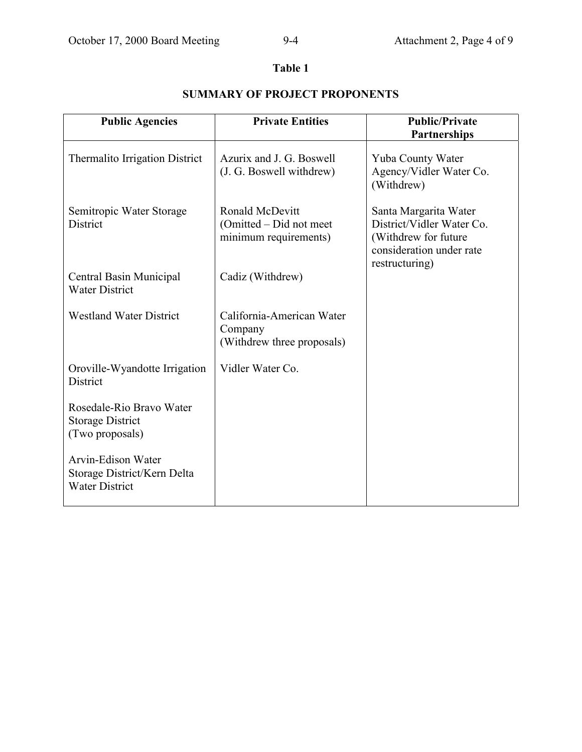#### **Table 1**

#### Public Agencies **Private Entities** Public/Private **Partnerships** Thermalito Irrigation District Semitropic Water Storage District Central Basin Municipal Water District Westland Water District Oroville-Wyandotte Irrigation **District** Rosedale-Rio Bravo Water Storage District (Two proposals) Arvin-Edison Water Storage District/Kern Delta Water District Azurix and J. G. Boswell (J. G. Boswell withdrew) Ronald McDevitt (Omitted – Did not meet minimum requirements) Cadiz (Withdrew) California-American Water Company (Withdrew three proposals) Vidler Water Co. Yuba County Water Agency/Vidler Water Co. (Withdrew) Santa Margarita Water District/Vidler Water Co. (Withdrew for future consideration under rate restructuring)

## **SUMMARY OF PROJECT PROPONENTS**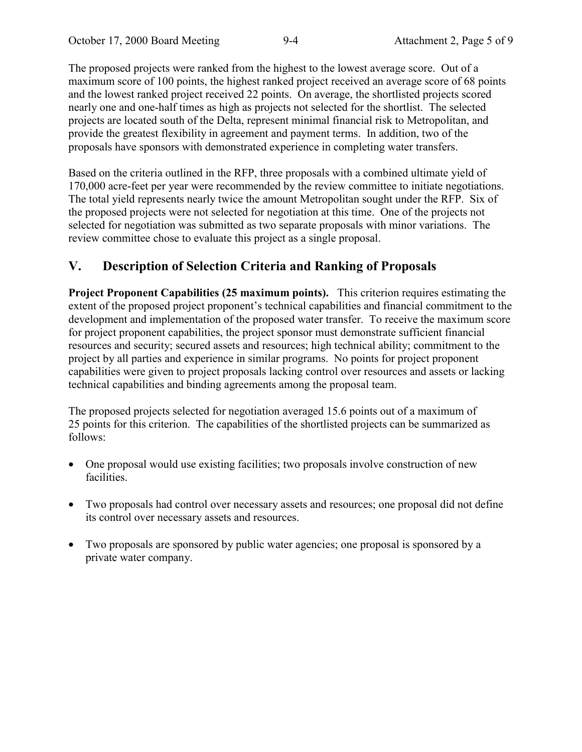The proposed projects were ranked from the highest to the lowest average score. Out of a maximum score of 100 points, the highest ranked project received an average score of 68 points and the lowest ranked project received 22 points. On average, the shortlisted projects scored nearly one and one-half times as high as projects not selected for the shortlist. The selected projects are located south of the Delta, represent minimal financial risk to Metropolitan, and provide the greatest flexibility in agreement and payment terms. In addition, two of the proposals have sponsors with demonstrated experience in completing water transfers.

Based on the criteria outlined in the RFP, three proposals with a combined ultimate yield of 170,000 acre-feet per year were recommended by the review committee to initiate negotiations. The total yield represents nearly twice the amount Metropolitan sought under the RFP. Six of the proposed projects were not selected for negotiation at this time. One of the projects not selected for negotiation was submitted as two separate proposals with minor variations. The review committee chose to evaluate this project as a single proposal.

# **V. Description of Selection Criteria and Ranking of Proposals**

**Project Proponent Capabilities (25 maximum points).** This criterion requires estimating the extent of the proposed project proponent's technical capabilities and financial commitment to the development and implementation of the proposed water transfer. To receive the maximum score for project proponent capabilities, the project sponsor must demonstrate sufficient financial resources and security; secured assets and resources; high technical ability; commitment to the project by all parties and experience in similar programs. No points for project proponent capabilities were given to project proposals lacking control over resources and assets or lacking technical capabilities and binding agreements among the proposal team.

The proposed projects selected for negotiation averaged 15.6 points out of a maximum of 25 points for this criterion. The capabilities of the shortlisted projects can be summarized as follows:

- One proposal would use existing facilities; two proposals involve construction of new facilities.
- Two proposals had control over necessary assets and resources; one proposal did not define its control over necessary assets and resources.
- Two proposals are sponsored by public water agencies; one proposal is sponsored by a private water company.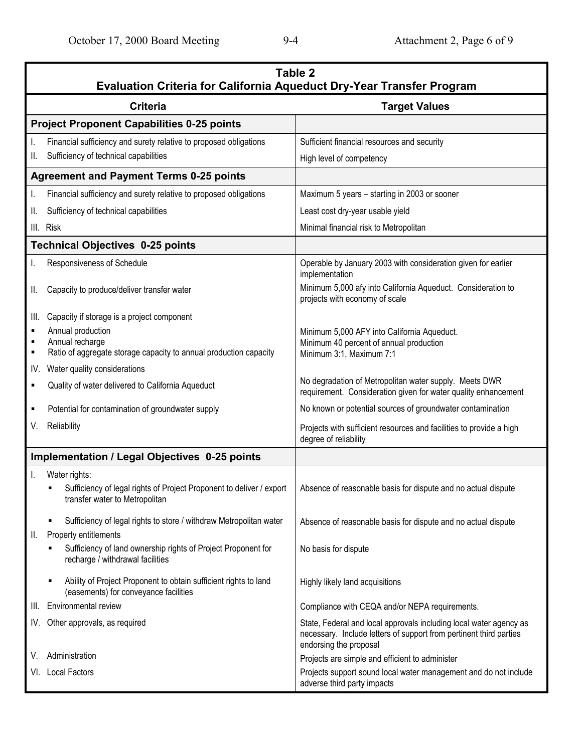|                                                   | Table 2<br>Evaluation Criteria for California Aqueduct Dry-Year Transfer Program                                                                        |                                                                                                                                                                    |  |  |  |
|---------------------------------------------------|---------------------------------------------------------------------------------------------------------------------------------------------------------|--------------------------------------------------------------------------------------------------------------------------------------------------------------------|--|--|--|
|                                                   | <b>Criteria</b>                                                                                                                                         | <b>Target Values</b>                                                                                                                                               |  |  |  |
| <b>Project Proponent Capabilities 0-25 points</b> |                                                                                                                                                         |                                                                                                                                                                    |  |  |  |
| I.<br>II.                                         | Financial sufficiency and surety relative to proposed obligations<br>Sufficiency of technical capabilities                                              | Sufficient financial resources and security<br>High level of competency                                                                                            |  |  |  |
|                                                   | <b>Agreement and Payment Terms 0-25 points</b>                                                                                                          |                                                                                                                                                                    |  |  |  |
| I.                                                | Financial sufficiency and surety relative to proposed obligations                                                                                       | Maximum 5 years - starting in 2003 or sooner                                                                                                                       |  |  |  |
| Ⅱ.                                                | Sufficiency of technical capabilities                                                                                                                   | Least cost dry-year usable yield                                                                                                                                   |  |  |  |
|                                                   | III. Risk                                                                                                                                               | Minimal financial risk to Metropolitan                                                                                                                             |  |  |  |
|                                                   | <b>Technical Objectives 0-25 points</b>                                                                                                                 |                                                                                                                                                                    |  |  |  |
| I.                                                | Responsiveness of Schedule                                                                                                                              | Operable by January 2003 with consideration given for earlier<br>implementation                                                                                    |  |  |  |
| Ⅱ.                                                | Capacity to produce/deliver transfer water                                                                                                              | Minimum 5,000 afy into California Aqueduct. Consideration to<br>projects with economy of scale                                                                     |  |  |  |
| III.<br>٠<br>$\blacksquare$                       | Capacity if storage is a project component<br>Annual production<br>Annual recharge<br>Ratio of aggregate storage capacity to annual production capacity | Minimum 5,000 AFY into California Aqueduct.<br>Minimum 40 percent of annual production<br>Minimum 3:1, Maximum 7:1                                                 |  |  |  |
| IV.                                               | Water quality considerations                                                                                                                            |                                                                                                                                                                    |  |  |  |
| $\blacksquare$                                    | Quality of water delivered to California Aqueduct                                                                                                       | No degradation of Metropolitan water supply. Meets DWR<br>requirement. Consideration given for water quality enhancement                                           |  |  |  |
| $\blacksquare$                                    | Potential for contamination of groundwater supply                                                                                                       | No known or potential sources of groundwater contamination                                                                                                         |  |  |  |
| V.                                                | Reliability                                                                                                                                             | Projects with sufficient resources and facilities to provide a high<br>degree of reliability                                                                       |  |  |  |
| Implementation / Legal Objectives 0-25 points     |                                                                                                                                                         |                                                                                                                                                                    |  |  |  |
| I.                                                | Water rights:<br>Sufficiency of legal rights of Project Proponent to deliver / export<br>٠<br>transfer water to Metropolitan                            | Absence of reasonable basis for dispute and no actual dispute                                                                                                      |  |  |  |
| II.                                               | Sufficiency of legal rights to store / withdraw Metropolitan water<br>Property entitlements                                                             | Absence of reasonable basis for dispute and no actual dispute                                                                                                      |  |  |  |
|                                                   | Sufficiency of land ownership rights of Project Proponent for<br>recharge / withdrawal facilities                                                       | No basis for dispute                                                                                                                                               |  |  |  |
|                                                   | Ability of Project Proponent to obtain sufficient rights to land<br>п<br>(easements) for conveyance facilities                                          | Highly likely land acquisitions                                                                                                                                    |  |  |  |
| III.                                              | Environmental review                                                                                                                                    | Compliance with CEQA and/or NEPA requirements.                                                                                                                     |  |  |  |
| IV.                                               | Other approvals, as required                                                                                                                            | State, Federal and local approvals including local water agency as<br>necessary. Include letters of support from pertinent third parties<br>endorsing the proposal |  |  |  |
| V.                                                | Administration                                                                                                                                          | Projects are simple and efficient to administer                                                                                                                    |  |  |  |
| VI.                                               | <b>Local Factors</b>                                                                                                                                    | Projects support sound local water management and do not include<br>adverse third party impacts                                                                    |  |  |  |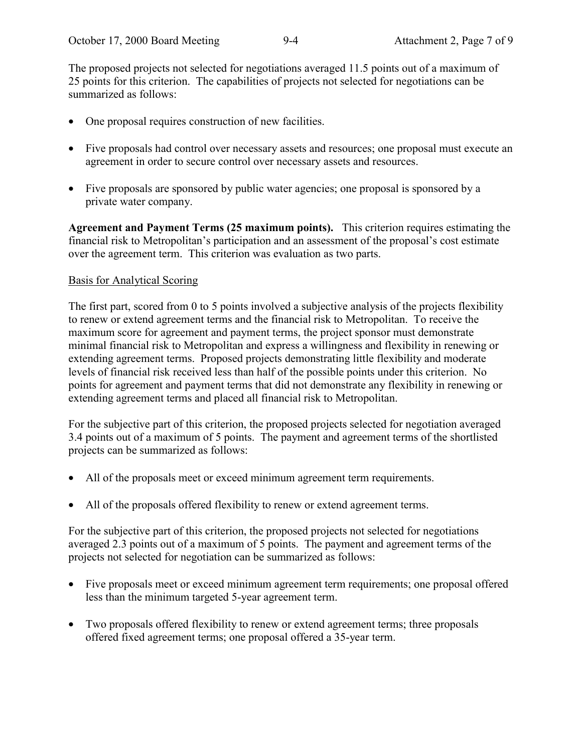The proposed projects not selected for negotiations averaged 11.5 points out of a maximum of 25 points for this criterion. The capabilities of projects not selected for negotiations can be summarized as follows:

- One proposal requires construction of new facilities.
- Five proposals had control over necessary assets and resources; one proposal must execute an agreement in order to secure control over necessary assets and resources.
- Five proposals are sponsored by public water agencies; one proposal is sponsored by a private water company.

**Agreement and Payment Terms (25 maximum points).** This criterion requires estimating the financial risk to Metropolitan's participation and an assessment of the proposal's cost estimate over the agreement term. This criterion was evaluation as two parts.

#### Basis for Analytical Scoring

The first part, scored from 0 to 5 points involved a subjective analysis of the projects flexibility to renew or extend agreement terms and the financial risk to Metropolitan. To receive the maximum score for agreement and payment terms, the project sponsor must demonstrate minimal financial risk to Metropolitan and express a willingness and flexibility in renewing or extending agreement terms. Proposed projects demonstrating little flexibility and moderate levels of financial risk received less than half of the possible points under this criterion. No points for agreement and payment terms that did not demonstrate any flexibility in renewing or extending agreement terms and placed all financial risk to Metropolitan.

For the subjective part of this criterion, the proposed projects selected for negotiation averaged 3.4 points out of a maximum of 5 points. The payment and agreement terms of the shortlisted projects can be summarized as follows:

- All of the proposals meet or exceed minimum agreement term requirements.
- All of the proposals offered flexibility to renew or extend agreement terms.

For the subjective part of this criterion, the proposed projects not selected for negotiations averaged 2.3 points out of a maximum of 5 points. The payment and agreement terms of the projects not selected for negotiation can be summarized as follows:

- Five proposals meet or exceed minimum agreement term requirements; one proposal offered less than the minimum targeted 5-year agreement term.
- Two proposals offered flexibility to renew or extend agreement terms; three proposals offered fixed agreement terms; one proposal offered a 35-year term.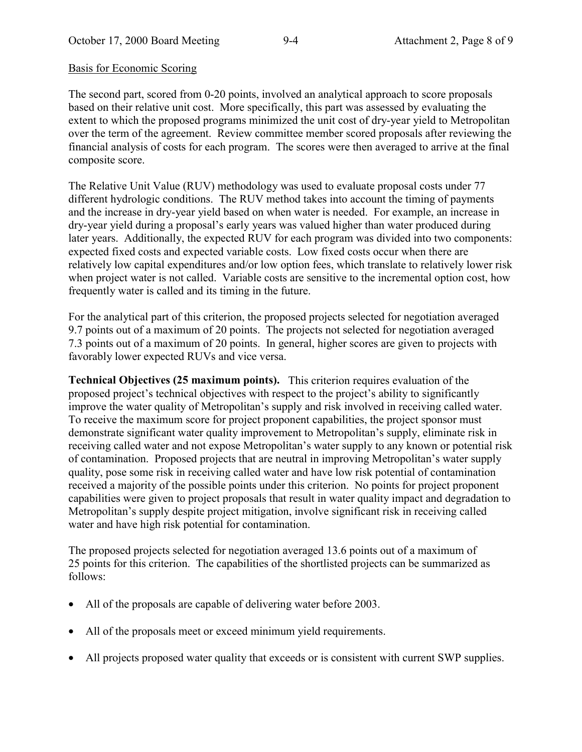#### Basis for Economic Scoring

The second part, scored from 0-20 points, involved an analytical approach to score proposals based on their relative unit cost. More specifically, this part was assessed by evaluating the extent to which the proposed programs minimized the unit cost of dry-year yield to Metropolitan over the term of the agreement. Review committee member scored proposals after reviewing the financial analysis of costs for each program. The scores were then averaged to arrive at the final composite score.

The Relative Unit Value (RUV) methodology was used to evaluate proposal costs under 77 different hydrologic conditions. The RUV method takes into account the timing of payments and the increase in dry-year yield based on when water is needed. For example, an increase in dry-year yield during a proposal's early years was valued higher than water produced during later years. Additionally, the expected RUV for each program was divided into two components: expected fixed costs and expected variable costs. Low fixed costs occur when there are relatively low capital expenditures and/or low option fees, which translate to relatively lower risk when project water is not called. Variable costs are sensitive to the incremental option cost, how frequently water is called and its timing in the future.

For the analytical part of this criterion, the proposed projects selected for negotiation averaged 9.7 points out of a maximum of 20 points. The projects not selected for negotiation averaged 7.3 points out of a maximum of 20 points. In general, higher scores are given to projects with favorably lower expected RUVs and vice versa.

**Technical Objectives (25 maximum points).** This criterion requires evaluation of the proposed project's technical objectives with respect to the project's ability to significantly improve the water quality of Metropolitan's supply and risk involved in receiving called water. To receive the maximum score for project proponent capabilities, the project sponsor must demonstrate significant water quality improvement to Metropolitan's supply, eliminate risk in receiving called water and not expose Metropolitan's water supply to any known or potential risk of contamination. Proposed projects that are neutral in improving Metropolitan's water supply quality, pose some risk in receiving called water and have low risk potential of contamination received a majority of the possible points under this criterion. No points for project proponent capabilities were given to project proposals that result in water quality impact and degradation to Metropolitan's supply despite project mitigation, involve significant risk in receiving called water and have high risk potential for contamination.

The proposed projects selected for negotiation averaged 13.6 points out of a maximum of 25 points for this criterion. The capabilities of the shortlisted projects can be summarized as follows:

- All of the proposals are capable of delivering water before 2003.
- All of the proposals meet or exceed minimum yield requirements.
- All projects proposed water quality that exceeds or is consistent with current SWP supplies.